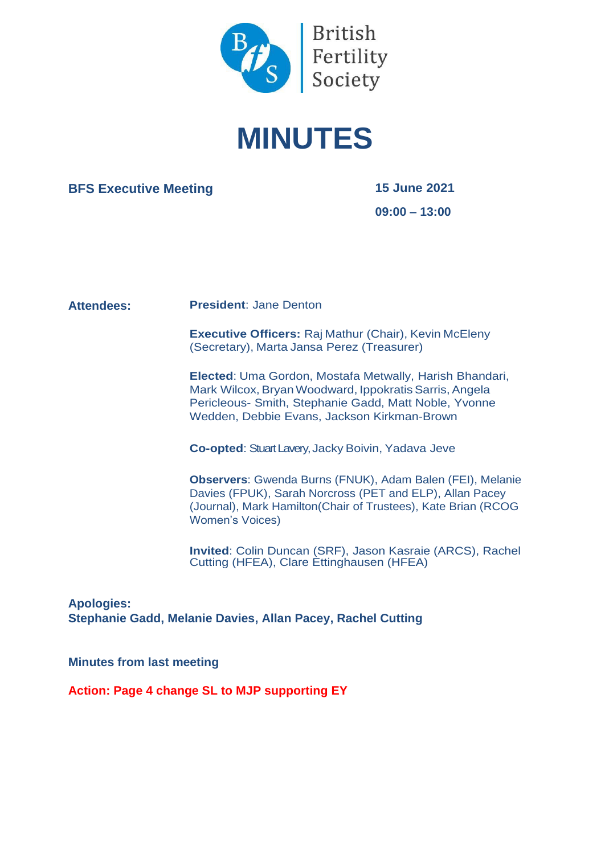

# **MINUTES**

**BFS Executive Meeting 15 June 2021**

**09:00 – 13:00**

**Attendees: President**: Jane Denton

**Executive Officers:** Raj Mathur (Chair), Kevin McEleny (Secretary), Marta Jansa Perez (Treasurer)

**Elected**: Uma Gordon, Mostafa Metwally, Harish Bhandari, Mark Wilcox, Bryan Woodward, Ippokratis Sarris, Angela Pericleous- Smith, Stephanie Gadd, Matt Noble, Yvonne Wedden, Debbie Evans, Jackson Kirkman-Brown

**Co-opted**: Stuart Lavery, Jacky Boivin, Yadava Jeve

**Observers**: Gwenda Burns (FNUK), Adam Balen (FEI), Melanie Davies (FPUK), Sarah Norcross (PET and ELP), Allan Pacey (Journal), Mark Hamilton(Chair of Trustees), Kate Brian (RCOG Women's Voices)

**Invited**: Colin Duncan (SRF), Jason Kasraie (ARCS), Rachel Cutting (HFEA), Clare Ettinghausen (HFEA)

**Apologies: Stephanie Gadd, Melanie Davies, Allan Pacey, Rachel Cutting**

**Minutes from last meeting**

**Action: Page 4 change SL to MJP supporting EY**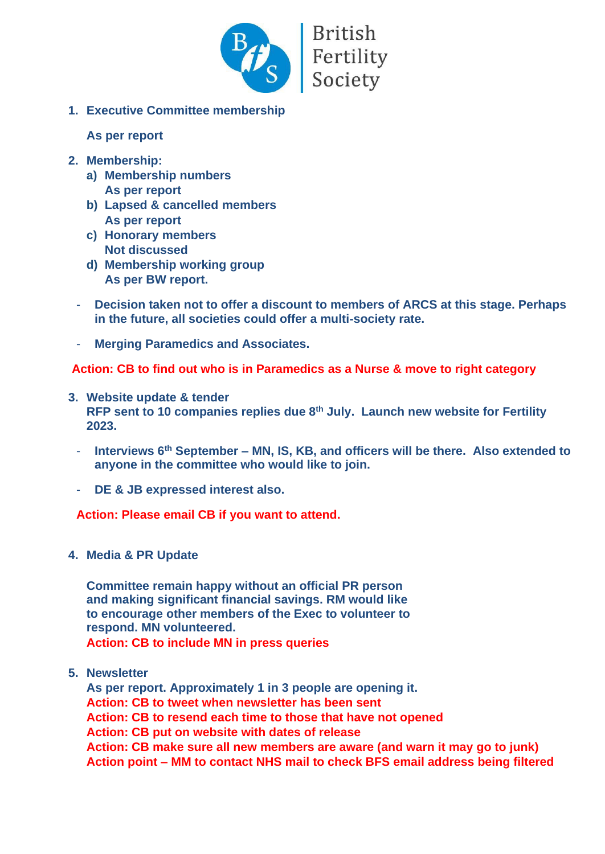

British Fertility<br>Society

**1. Executive Committee membership**

**As per report**

- **2. Membership:**
	- **a) Membership numbers As per report**
	- **b) Lapsed & cancelled members As per report**
	- **c) Honorary members Not discussed**
	- **d) Membership working group As per BW report.**
	- **Decision taken not to offer a discount to members of ARCS at this stage. Perhaps in the future, all societies could offer a multi-society rate.**
	- **Merging Paramedics and Associates.**

 **Action: CB to find out who is in Paramedics as a Nurse & move to right category** 

- **3. Website update & tender RFP sent to 10 companies replies due 8th July. Launch new website for Fertility 2023.**
	- **Interviews 6th September – MN, IS, KB, and officers will be there. Also extended to anyone in the committee who would like to join.**
	- **DE & JB expressed interest also.**

**Action: Please email CB if you want to attend.** 

**4. Media & PR Update** 

**Committee remain happy without an official PR person and making significant financial savings. RM would like to encourage other members of the Exec to volunteer to respond. MN volunteered. Action: CB to include MN in press queries** 

**5. Newsletter** 

**As per report. Approximately 1 in 3 people are opening it. Action: CB to tweet when newsletter has been sent Action: CB to resend each time to those that have not opened Action: CB put on website with dates of release Action: CB make sure all new members are aware (and warn it may go to junk) Action point – MM to contact NHS mail to check BFS email address being filtered**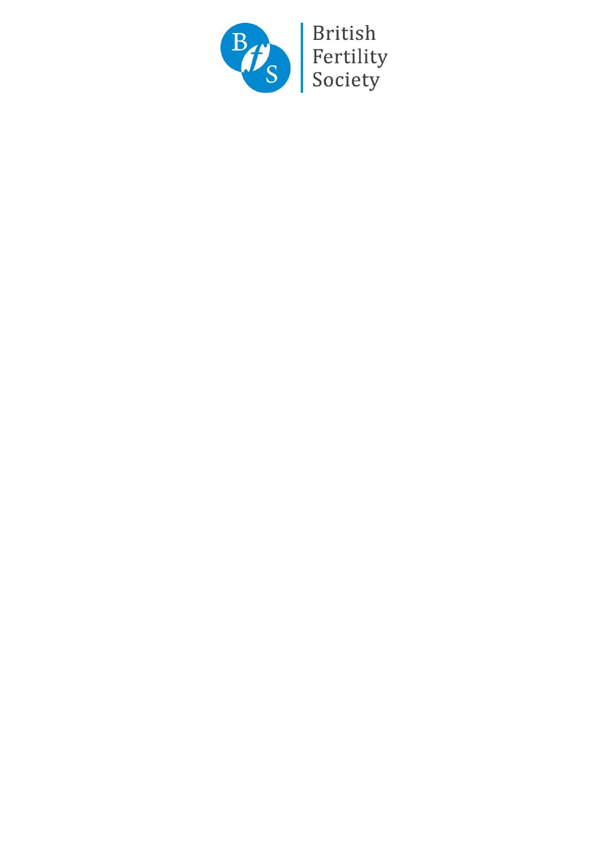

British<br>Fertility<br>Society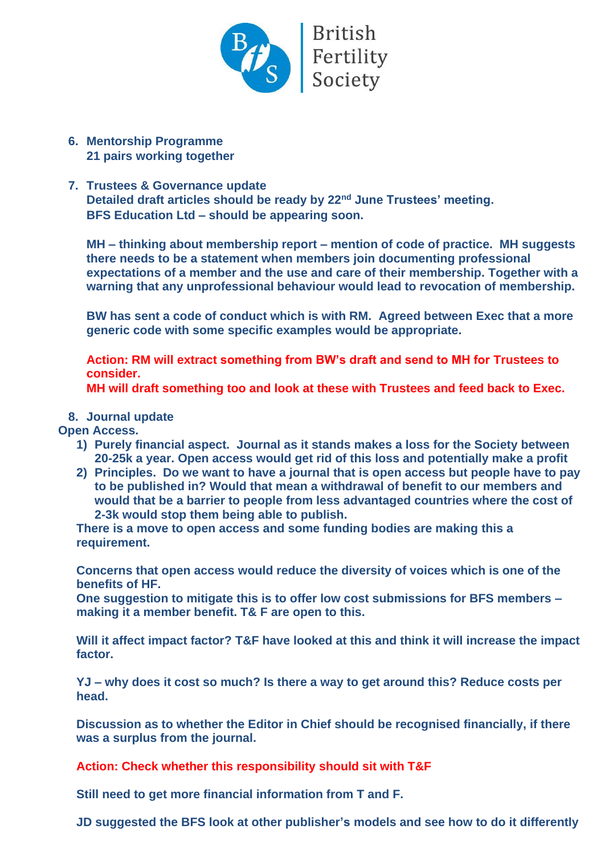

**6. Mentorship Programme 21 pairs working together**

#### **7. Trustees & Governance update Detailed draft articles should be ready by 22nd June Trustees' meeting. BFS Education Ltd – should be appearing soon.**

**MH – thinking about membership report – mention of code of practice. MH suggests there needs to be a statement when members join documenting professional expectations of a member and the use and care of their membership. Together with a warning that any unprofessional behaviour would lead to revocation of membership.** 

**BW has sent a code of conduct which is with RM. Agreed between Exec that a more generic code with some specific examples would be appropriate.** 

**Action: RM will extract something from BW's draft and send to MH for Trustees to consider.** 

**MH will draft something too and look at these with Trustees and feed back to Exec.** 

### **8. Journal update**

**Open Access.** 

- **1) Purely financial aspect. Journal as it stands makes a loss for the Society between 20-25k a year. Open access would get rid of this loss and potentially make a profit**
- **2) Principles. Do we want to have a journal that is open access but people have to pay to be published in? Would that mean a withdrawal of benefit to our members and would that be a barrier to people from less advantaged countries where the cost of 2-3k would stop them being able to publish.**

**There is a move to open access and some funding bodies are making this a requirement.**

**Concerns that open access would reduce the diversity of voices which is one of the benefits of HF.**

**One suggestion to mitigate this is to offer low cost submissions for BFS members – making it a member benefit. T& F are open to this.** 

**Will it affect impact factor? T&F have looked at this and think it will increase the impact factor.** 

**YJ – why does it cost so much? Is there a way to get around this? Reduce costs per head.** 

**Discussion as to whether the Editor in Chief should be recognised financially, if there was a surplus from the journal.** 

**Action: Check whether this responsibility should sit with T&F**

**Still need to get more financial information from T and F.** 

**JD suggested the BFS look at other publisher's models and see how to do it differently**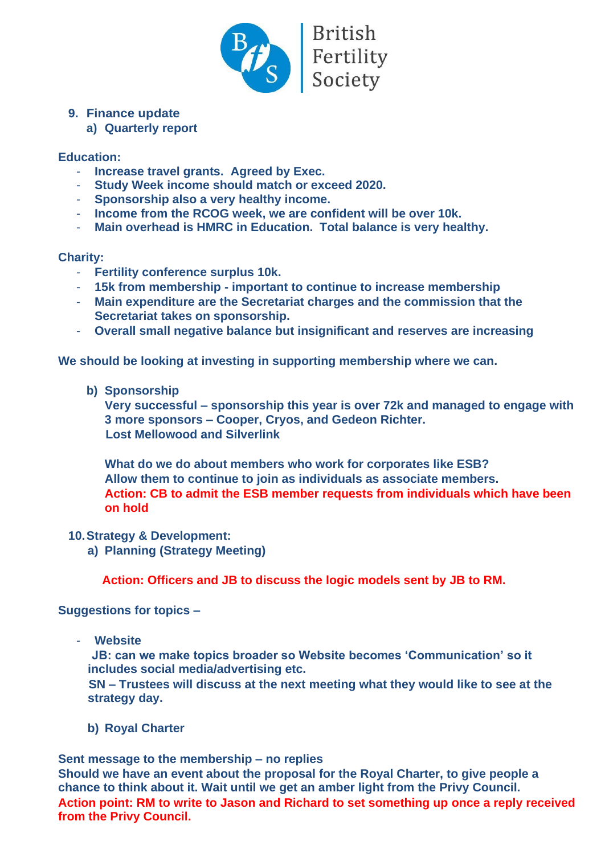

British<br>Fertility<br>Society

- **9. Finance update**
	- **a) Quarterly report**

## **Education:**

- **Increase travel grants. Agreed by Exec.**
- **Study Week income should match or exceed 2020.**
- **Sponsorship also a very healthy income.**
- **Income from the RCOG week, we are confident will be over 10k.**
- **Main overhead is HMRC in Education. Total balance is very healthy.**

### **Charity:**

- **Fertility conference surplus 10k.**
- **15k from membership - important to continue to increase membership**
- **Main expenditure are the Secretariat charges and the commission that the Secretariat takes on sponsorship.**
- **Overall small negative balance but insignificant and reserves are increasing**

**We should be looking at investing in supporting membership where we can.** 

**b) Sponsorship** 

**Very successful – sponsorship this year is over 72k and managed to engage with 3 more sponsors – Cooper, Cryos, and Gedeon Richter. Lost Mellowood and Silverlink** 

**What do we do about members who work for corporates like ESB? Allow them to continue to join as individuals as associate members. Action: CB to admit the ESB member requests from individuals which have been on hold**

#### **10.Strategy & Development:**

**a) Planning (Strategy Meeting)** 

 **Action: Officers and JB to discuss the logic models sent by JB to RM.** 

#### **Suggestions for topics –**

- **Website**

 **JB: can we make topics broader so Website becomes 'Communication' so it includes social media/advertising etc.** 

 **SN – Trustees will discuss at the next meeting what they would like to see at the strategy day.** 

**b) Royal Charter**

**Sent message to the membership – no replies**

**Should we have an event about the proposal for the Royal Charter, to give people a chance to think about it. Wait until we get an amber light from the Privy Council. Action point: RM to write to Jason and Richard to set something up once a reply received from the Privy Council.**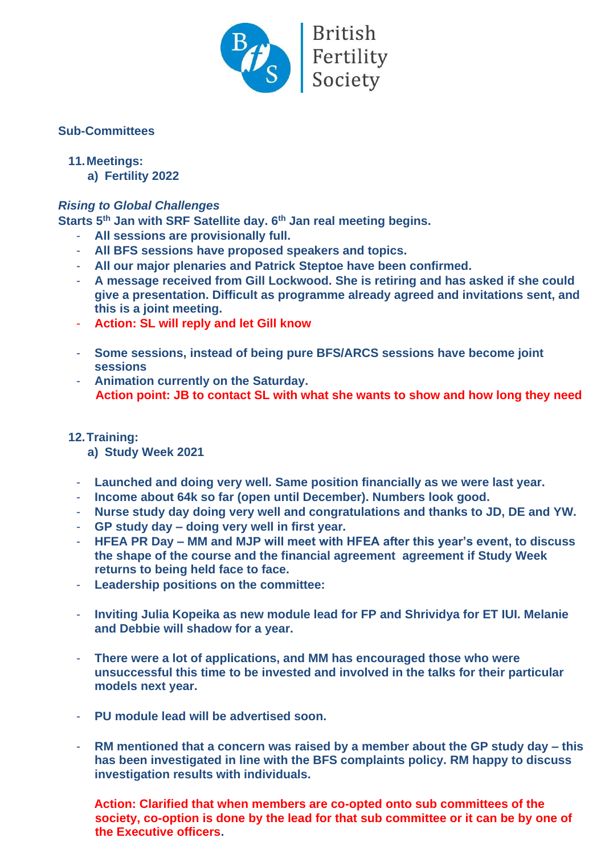

## **Sub-Committees**

- **11.Meetings:**
	- **a) Fertility 2022**

## *Rising to Global Challenges*

**Starts 5th Jan with SRF Satellite day. 6th Jan real meeting begins.** 

- **All sessions are provisionally full.**
- **All BFS sessions have proposed speakers and topics.**
- **All our major plenaries and Patrick Steptoe have been confirmed.**
- **A message received from Gill Lockwood. She is retiring and has asked if she could give a presentation. Difficult as programme already agreed and invitations sent, and this is a joint meeting.**
- **Action: SL will reply and let Gill know**
- **Some sessions, instead of being pure BFS/ARCS sessions have become joint sessions**
- **Animation currently on the Saturday. Action point: JB to contact SL with what she wants to show and how long they need**

## **12.Training:**

**a) Study Week 2021**

- **Launched and doing very well. Same position financially as we were last year.**
- **Income about 64k so far (open until December). Numbers look good.**
- **Nurse study day doing very well and congratulations and thanks to JD, DE and YW.**
- **GP study day – doing very well in first year.**
- **HFEA PR Day – MM and MJP will meet with HFEA after this year's event, to discuss the shape of the course and the financial agreement agreement if Study Week returns to being held face to face.**
- **Leadership positions on the committee:**
- **Inviting Julia Kopeika as new module lead for FP and Shrividya for ET IUI. Melanie and Debbie will shadow for a year.**
- **There were a lot of applications, and MM has encouraged those who were unsuccessful this time to be invested and involved in the talks for their particular models next year.**
- **PU module lead will be advertised soon.**
- **RM mentioned that a concern was raised by a member about the GP study day – this has been investigated in line with the BFS complaints policy. RM happy to discuss investigation results with individuals.**

 **Action: Clarified that when members are co-opted onto sub committees of the society, co-option is done by the lead for that sub committee or it can be by one of the Executive officers.**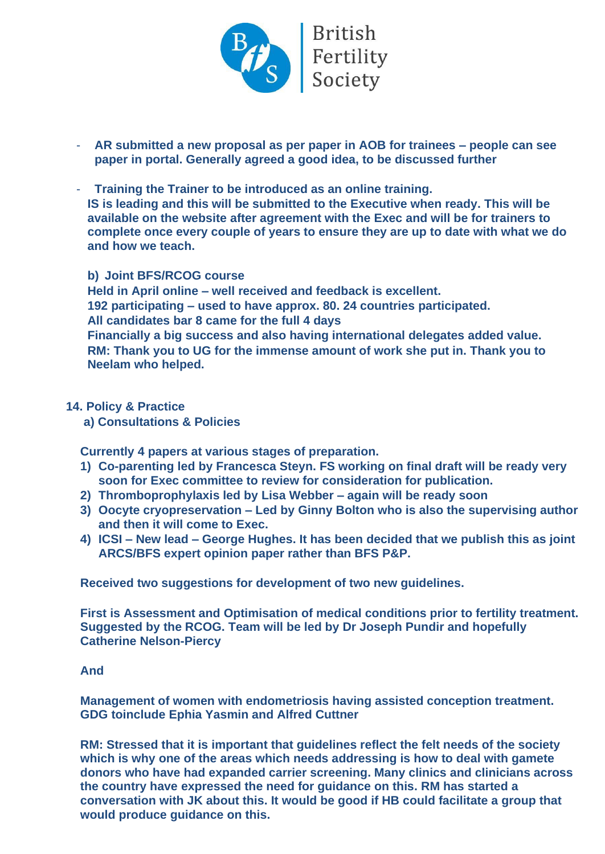

- **AR submitted a new proposal as per paper in AOB for trainees – people can see paper in portal. Generally agreed a good idea, to be discussed further**

- **Training the Trainer to be introduced as an online training. IS is leading and this will be submitted to the Executive when ready. This will be available on the website after agreement with the Exec and will be for trainers to complete once every couple of years to ensure they are up to date with what we do and how we teach.** 

#### **b) Joint BFS/RCOG course**

**Held in April online – well received and feedback is excellent. 192 participating – used to have approx. 80. 24 countries participated. All candidates bar 8 came for the full 4 days Financially a big success and also having international delegates added value. RM: Thank you to UG for the immense amount of work she put in. Thank you to Neelam who helped.** 

#### **14. Policy & Practice**

**a) Consultations & Policies**

**Currently 4 papers at various stages of preparation.** 

- **1) Co-parenting led by Francesca Steyn. FS working on final draft will be ready very soon for Exec committee to review for consideration for publication.**
- **2) Thromboprophylaxis led by Lisa Webber – again will be ready soon**
- **3) Oocyte cryopreservation – Led by Ginny Bolton who is also the supervising author and then it will come to Exec.**
- **4) ICSI – New lead – George Hughes. It has been decided that we publish this as joint ARCS/BFS expert opinion paper rather than BFS P&P.**

**Received two suggestions for development of two new guidelines.** 

**First is Assessment and Optimisation of medical conditions prior to fertility treatment. Suggested by the RCOG. Team will be led by Dr Joseph Pundir and hopefully Catherine Nelson-Piercy**

#### **And**

**Management of women with endometriosis having assisted conception treatment. GDG toinclude Ephia Yasmin and Alfred Cuttner**

**RM: Stressed that it is important that guidelines reflect the felt needs of the society which is why one of the areas which needs addressing is how to deal with gamete donors who have had expanded carrier screening. Many clinics and clinicians across the country have expressed the need for guidance on this. RM has started a conversation with JK about this. It would be good if HB could facilitate a group that would produce guidance on this.**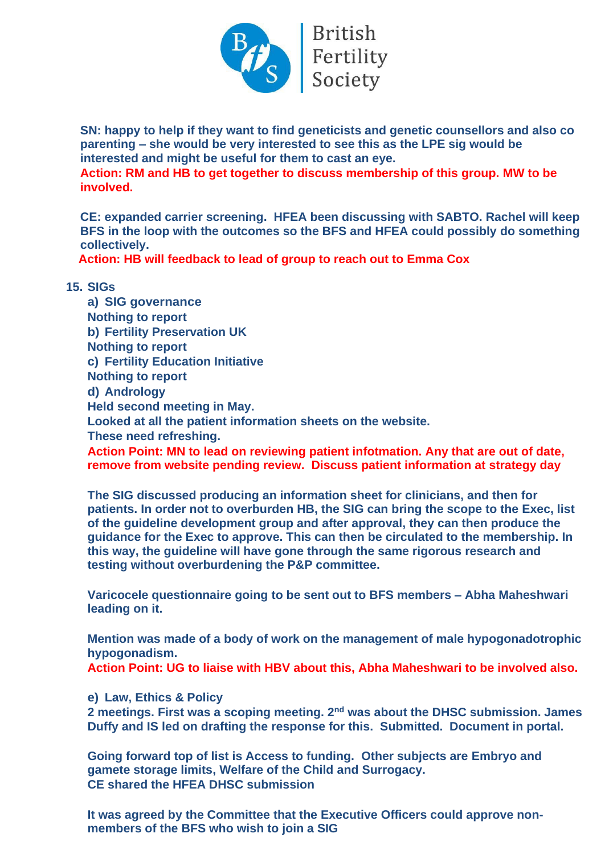

**SN: happy to help if they want to find geneticists and genetic counsellors and also co parenting – she would be very interested to see this as the LPE sig would be interested and might be useful for them to cast an eye.** 

**Action: RM and HB to get together to discuss membership of this group. MW to be involved.** 

**CE: expanded carrier screening. HFEA been discussing with SABTO. Rachel will keep BFS in the loop with the outcomes so the BFS and HFEA could possibly do something collectively.** 

 **Action: HB will feedback to lead of group to reach out to Emma Cox** 

### **15. SIGs**

**a) SIG governance Nothing to report b) Fertility Preservation UK Nothing to report c) Fertility Education Initiative Nothing to report d) Andrology Held second meeting in May. Looked at all the patient information sheets on the website. These need refreshing. Action Point: MN to lead on reviewing patient infotmation. Any that are out of date, remove from website pending review. Discuss patient information at strategy day**

**The SIG discussed producing an information sheet for clinicians, and then for patients. In order not to overburden HB, the SIG can bring the scope to the Exec, list of the guideline development group and after approval, they can then produce the guidance for the Exec to approve. This can then be circulated to the membership. In this way, the guideline will have gone through the same rigorous research and testing without overburdening the P&P committee.**

**Varicocele questionnaire going to be sent out to BFS members – Abha Maheshwari leading on it.** 

**Mention was made of a body of work on the management of male hypogonadotrophic hypogonadism.** 

**Action Point: UG to liaise with HBV about this, Abha Maheshwari to be involved also.**

**e) Law, Ethics & Policy**

**2 meetings. First was a scoping meeting. 2nd was about the DHSC submission. James Duffy and IS led on drafting the response for this. Submitted. Document in portal.** 

**Going forward top of list is Access to funding. Other subjects are Embryo and gamete storage limits, Welfare of the Child and Surrogacy. CE shared the HFEA DHSC submission**

**It was agreed by the Committee that the Executive Officers could approve nonmembers of the BFS who wish to join a SIG**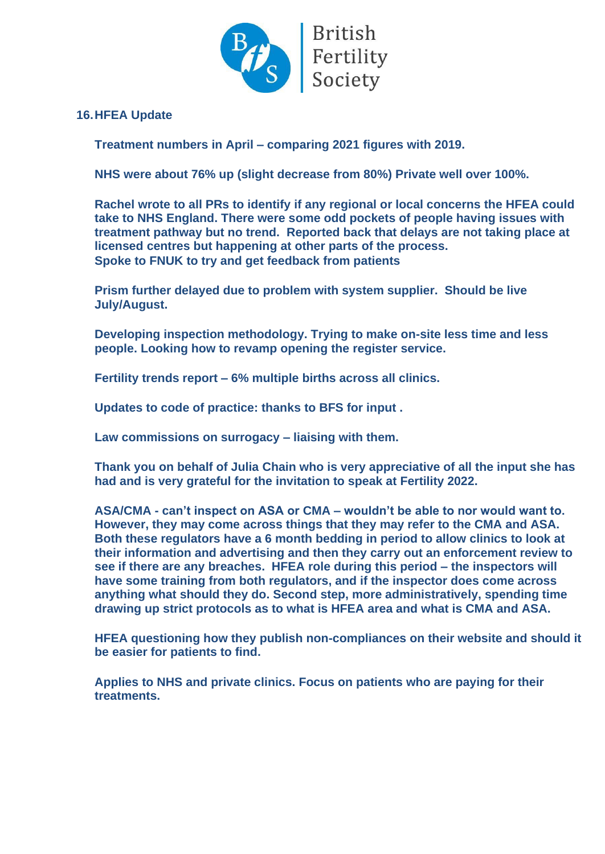

### **16.HFEA Update**

**Treatment numbers in April – comparing 2021 figures with 2019.** 

**NHS were about 76% up (slight decrease from 80%) Private well over 100%.** 

**Rachel wrote to all PRs to identify if any regional or local concerns the HFEA could take to NHS England. There were some odd pockets of people having issues with treatment pathway but no trend. Reported back that delays are not taking place at licensed centres but happening at other parts of the process. Spoke to FNUK to try and get feedback from patients** 

**Prism further delayed due to problem with system supplier. Should be live July/August.**

**Developing inspection methodology. Trying to make on-site less time and less people. Looking how to revamp opening the register service.** 

**Fertility trends report – 6% multiple births across all clinics.** 

**Updates to code of practice: thanks to BFS for input .** 

**Law commissions on surrogacy – liaising with them.** 

**Thank you on behalf of Julia Chain who is very appreciative of all the input she has had and is very grateful for the invitation to speak at Fertility 2022.** 

**ASA/CMA - can't inspect on ASA or CMA – wouldn't be able to nor would want to. However, they may come across things that they may refer to the CMA and ASA. Both these regulators have a 6 month bedding in period to allow clinics to look at their information and advertising and then they carry out an enforcement review to see if there are any breaches. HFEA role during this period – the inspectors will have some training from both regulators, and if the inspector does come across anything what should they do. Second step, more administratively, spending time drawing up strict protocols as to what is HFEA area and what is CMA and ASA.** 

**HFEA questioning how they publish non-compliances on their website and should it be easier for patients to find.** 

**Applies to NHS and private clinics. Focus on patients who are paying for their treatments.**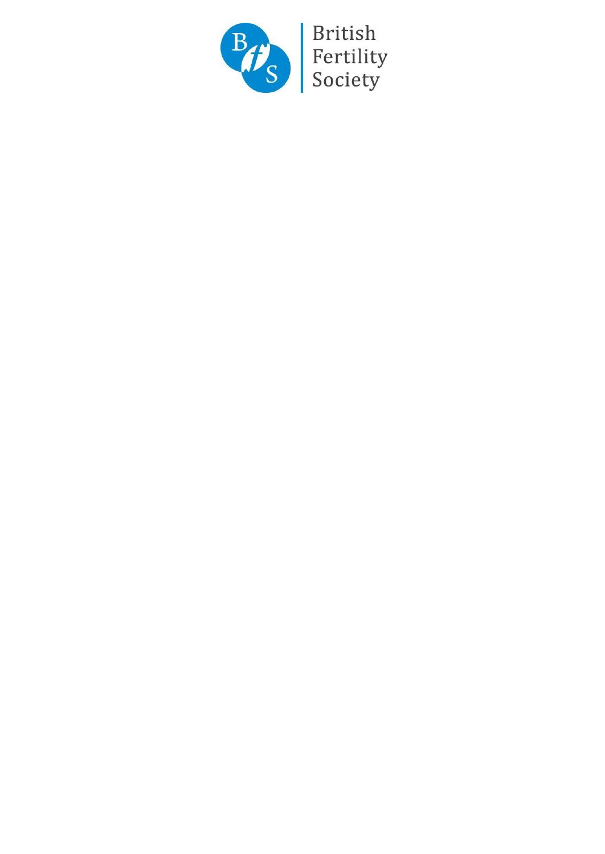

British<br>Fertility<br>Society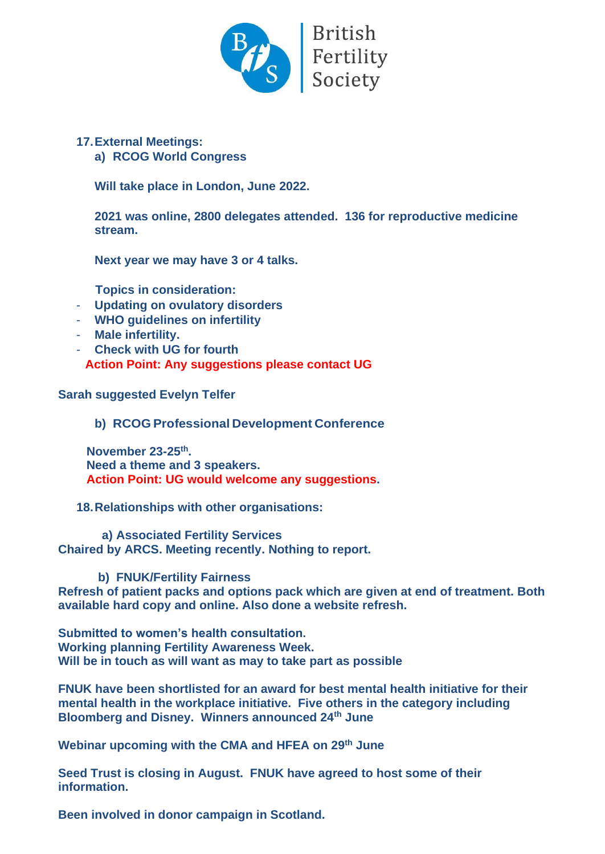

## **17.External Meetings:**

**a) RCOG World Congress**

**Will take place in London, June 2022.** 

**2021 was online, 2800 delegates attended. 136 for reproductive medicine stream.** 

**Next year we may have 3 or 4 talks.** 

 **Topics in consideration:** 

- **Updating on ovulatory disorders**
- **WHO guidelines on infertility**
- **Male infertility.**
- **Check with UG for fourth**

 **Action Point: Any suggestions please contact UG**

**Sarah suggested Evelyn Telfer**

**b) RCOG Professional Development Conference**

**November 23-25th . Need a theme and 3 speakers. Action Point: UG would welcome any suggestions.** 

**18.Relationships with other organisations:** 

**a) Associated Fertility Services Chaired by ARCS. Meeting recently. Nothing to report.** 

**b) FNUK/Fertility Fairness Refresh of patient packs and options pack which are given at end of treatment. Both available hard copy and online. Also done a website refresh.** 

**Submitted to women's health consultation. Working planning Fertility Awareness Week. Will be in touch as will want as may to take part as possible** 

**FNUK have been shortlisted for an award for best mental health initiative for their mental health in the workplace initiative. Five others in the category including Bloomberg and Disney. Winners announced 24th June**

**Webinar upcoming with the CMA and HFEA on 29th June**

**Seed Trust is closing in August. FNUK have agreed to host some of their information.** 

**Been involved in donor campaign in Scotland.**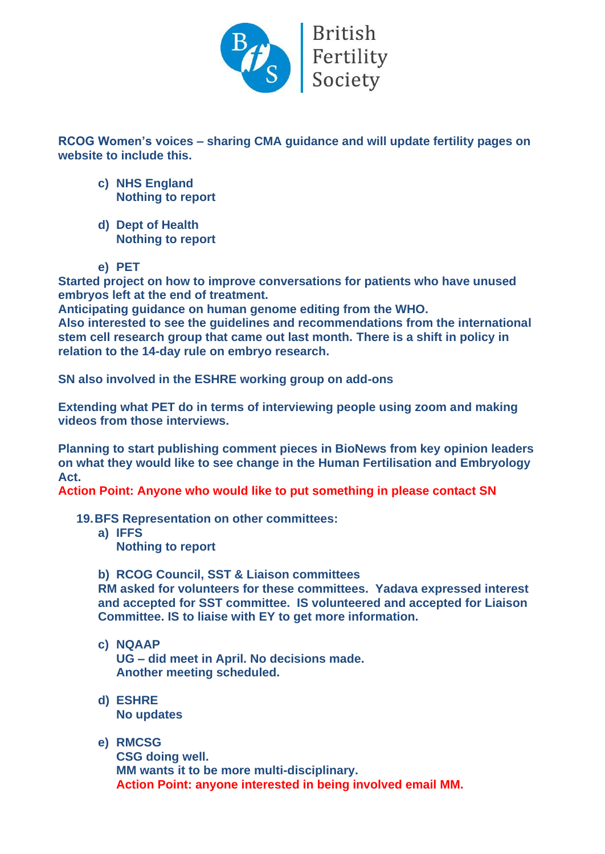

**RCOG Women's voices – sharing CMA guidance and will update fertility pages on website to include this.** 

- **c) NHS England Nothing to report**
- **d) Dept of Health Nothing to report**
- **e) PET**

**Started project on how to improve conversations for patients who have unused embryos left at the end of treatment.** 

**Anticipating guidance on human genome editing from the WHO. Also interested to see the guidelines and recommendations from the international stem cell research group that came out last month. There is a shift in policy in relation to the 14-day rule on embryo research.** 

**SN also involved in the ESHRE working group on add-ons** 

**Extending what PET do in terms of interviewing people using zoom and making videos from those interviews.** 

**Planning to start publishing comment pieces in BioNews from key opinion leaders on what they would like to see change in the Human Fertilisation and Embryology Act.** 

**Action Point: Anyone who would like to put something in please contact SN**

- **19.BFS Representation on other committees:** 
	- **a) IFFS**

**Nothing to report** 

**b) RCOG Council, SST & Liaison committees**

**RM asked for volunteers for these committees. Yadava expressed interest and accepted for SST committee. IS volunteered and accepted for Liaison Committee. IS to liaise with EY to get more information.** 

- **c) NQAAP UG – did meet in April. No decisions made. Another meeting scheduled.**
- **d) ESHRE No updates**
- **e) RMCSG**

**CSG doing well. MM wants it to be more multi-disciplinary. Action Point: anyone interested in being involved email MM.**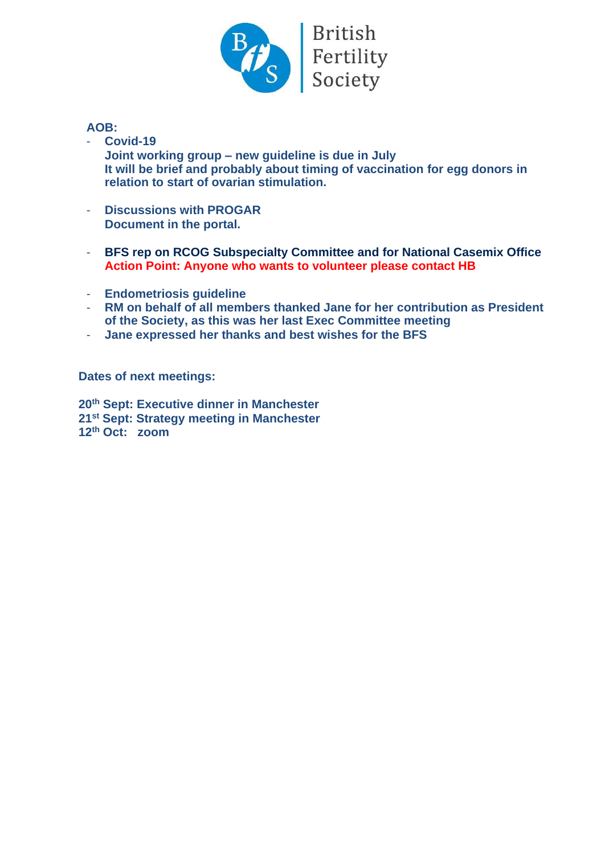

## **AOB:**

- **Covid-19 Joint working group – new guideline is due in July It will be brief and probably about timing of vaccination for egg donors in relation to start of ovarian stimulation.**
- **Discussions with PROGAR Document in the portal.**
- **BFS rep on RCOG Subspecialty Committee and for National Casemix Office Action Point: Anyone who wants to volunteer please contact HB**
- **Endometriosis guideline**
- **RM on behalf of all members thanked Jane for her contribution as President of the Society, as this was her last Exec Committee meeting**
- **Jane expressed her thanks and best wishes for the BFS**

 **Dates of next meetings:** 

 **20th Sept: Executive dinner in Manchester 21st Sept: Strategy meeting in Manchester 12th Oct: zoom**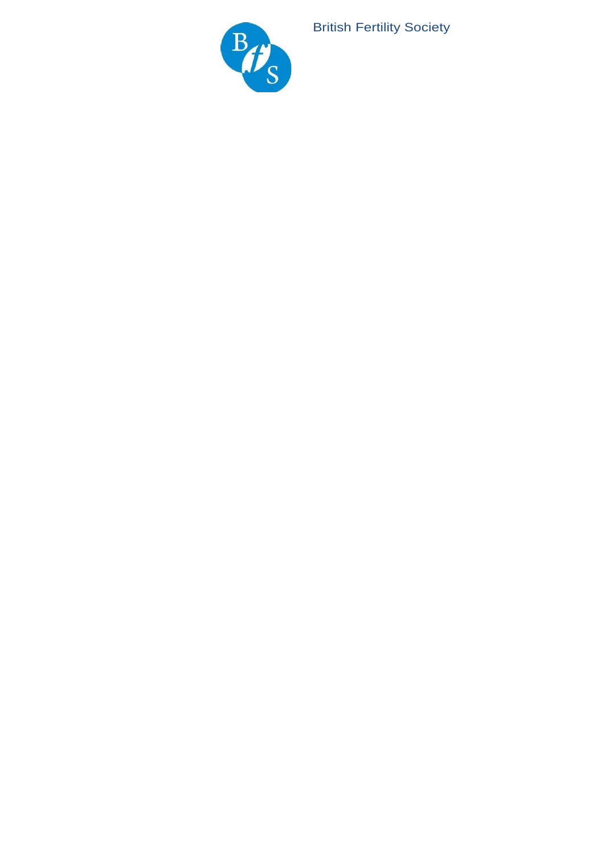British Fertility Society